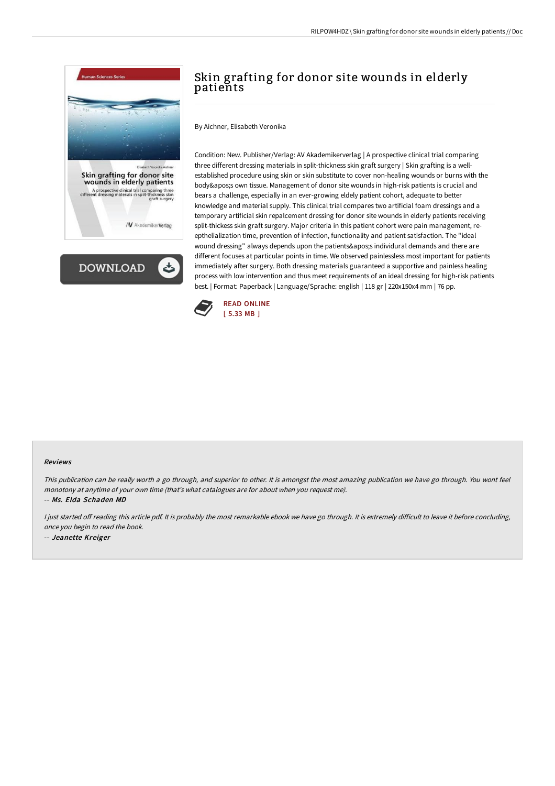



# Skin grafting for donor site wounds in elderly patients

By Aichner, Elisabeth Veronika

Condition: New. Publisher/Verlag: AV Akademikerverlag | A prospective clinical trial comparing three different dressing materials in split-thickness skin graft surgery | Skin grafting is a wellestablished procedure using skin or skin substitute to cover non-healing wounds or burns with the body's own tissue. Management of donor site wounds in high-risk patients is crucial and bears a challenge, especially in an ever-growing eldely patient cohort, adequate to better knowledge and material supply. This clinical trial compares two artificial foam dressings and a temporary artificial skin repalcement dressing for donor site wounds in elderly patients receiving split-thickess skin graft surgery. Major criteria in this patient cohort were pain management, reepthelialization time, prevention of infection, functionality and patient satisfaction. The "ideal wound dressing" always depends upon the patients's individural demands and there are different focuses at particular points in time. We observed painlessless most important for patients immediately after surgery. Both dressing materials guaranteed a supportive and painless healing process with low intervention and thus meet requirements of an ideal dressing for high-risk patients best. | Format: Paperback | Language/Sprache: english | 118 gr | 220x150x4 mm | 76 pp.



#### Reviews

This publication can be really worth <sup>a</sup> go through, and superior to other. It is amongst the most amazing publication we have go through. You wont feel monotony at anytime of your own time (that's what catalogues are for about when you request me). -- Ms. Elda Schaden MD

I just started off reading this article pdf. It is probably the most remarkable ebook we have go through. It is extremely difficult to leave it before concluding, once you begin to read the book. -- Jeanette Kreiger